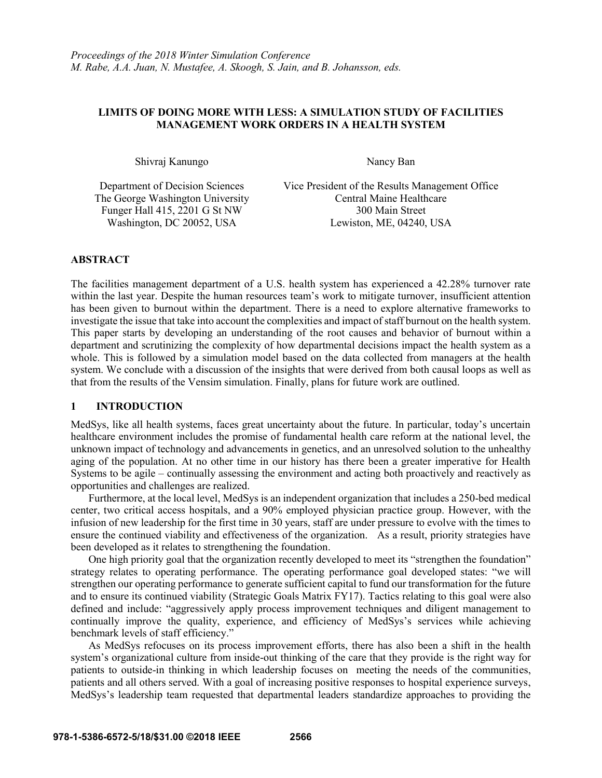# **LIMITS OF DOING MORE WITH LESS: A SIMULATION STUDY OF FACILITIES MANAGEMENT WORK ORDERS IN A HEALTH SYSTEM**

Shivraj Kanungo Nancy Ban

Funger Hall 415, 2201 G St NW 300 Main Street

Department of Decision Sciences Vice President of the Results Management Office The George Washington University Central Maine Healthcare Washington, DC 20052, USA Lewiston, ME, 04240, USA

# **ABSTRACT**

The facilities management department of a U.S. health system has experienced a 42.28% turnover rate within the last year. Despite the human resources team's work to mitigate turnover, insufficient attention has been given to burnout within the department. There is a need to explore alternative frameworks to investigate the issue that take into account the complexities and impact of staff burnout on the health system. This paper starts by developing an understanding of the root causes and behavior of burnout within a department and scrutinizing the complexity of how departmental decisions impact the health system as a whole. This is followed by a simulation model based on the data collected from managers at the health system. We conclude with a discussion of the insights that were derived from both causal loops as well as that from the results of the Vensim simulation. Finally, plans for future work are outlined.

# **1 INTRODUCTION**

MedSys, like all health systems, faces great uncertainty about the future. In particular, today's uncertain healthcare environment includes the promise of fundamental health care reform at the national level, the unknown impact of technology and advancements in genetics, and an unresolved solution to the unhealthy aging of the population. At no other time in our history has there been a greater imperative for Health Systems to be agile – continually assessing the environment and acting both proactively and reactively as opportunities and challenges are realized.

Furthermore, at the local level, MedSys is an independent organization that includes a 250-bed medical center, two critical access hospitals, and a 90% employed physician practice group. However, with the infusion of new leadership for the first time in 30 years, staff are under pressure to evolve with the times to ensure the continued viability and effectiveness of the organization. As a result, priority strategies have been developed as it relates to strengthening the foundation.

One high priority goal that the organization recently developed to meet its "strengthen the foundation" strategy relates to operating performance. The operating performance goal developed states: "we will strengthen our operating performance to generate sufficient capital to fund our transformation for the future and to ensure its continued viability (Strategic Goals Matrix FY17). Tactics relating to this goal were also defined and include: "aggressively apply process improvement techniques and diligent management to continually improve the quality, experience, and efficiency of MedSys's services while achieving benchmark levels of staff efficiency."

As MedSys refocuses on its process improvement efforts, there has also been a shift in the health system's organizational culture from inside-out thinking of the care that they provide is the right way for patients to outside-in thinking in which leadership focuses on meeting the needs of the communities, patients and all others served. With a goal of increasing positive responses to hospital experience surveys, MedSys's leadership team requested that departmental leaders standardize approaches to providing the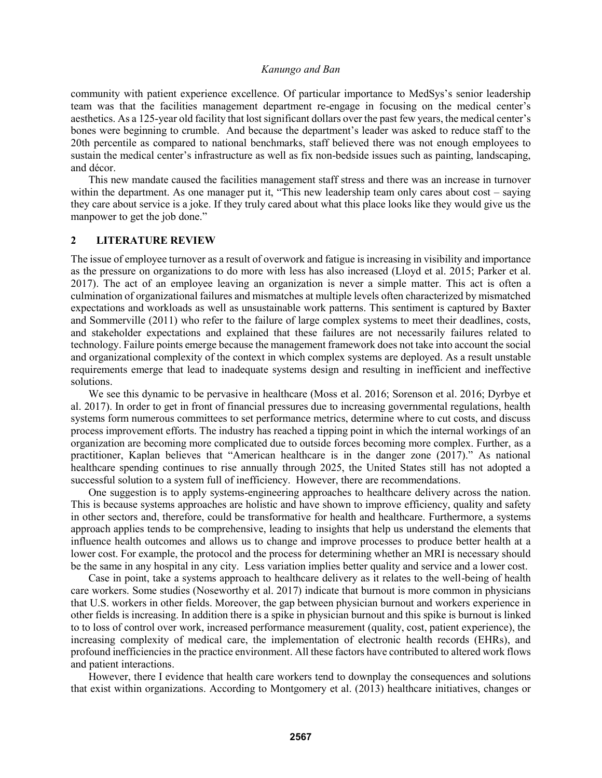community with patient experience excellence. Of particular importance to MedSys's senior leadership team was that the facilities management department re-engage in focusing on the medical center's aesthetics. As a 125-year old facility that lost significant dollars over the past few years, the medical center's bones were beginning to crumble. And because the department's leader was asked to reduce staff to the 20th percentile as compared to national benchmarks, staff believed there was not enough employees to sustain the medical center's infrastructure as well as fix non-bedside issues such as painting, landscaping, and décor.

This new mandate caused the facilities management staff stress and there was an increase in turnover within the department. As one manager put it, "This new leadership team only cares about cost – saying they care about service is a joke. If they truly cared about what this place looks like they would give us the manpower to get the job done."

### **2 LITERATURE REVIEW**

The issue of employee turnover as a result of overwork and fatigue is increasing in visibility and importance as the pressure on organizations to do more with less has also increased (Lloyd et al. 2015; Parker et al. 2017). The act of an employee leaving an organization is never a simple matter. This act is often a culmination of organizational failures and mismatches at multiple levels often characterized by mismatched expectations and workloads as well as unsustainable work patterns. This sentiment is captured by Baxter and Sommerville (2011) who refer to the failure of large complex systems to meet their deadlines, costs, and stakeholder expectations and explained that these failures are not necessarily failures related to technology. Failure points emerge because the management framework does not take into account the social and organizational complexity of the context in which complex systems are deployed. As a result unstable requirements emerge that lead to inadequate systems design and resulting in inefficient and ineffective solutions.

We see this dynamic to be pervasive in healthcare (Moss et al. 2016; Sorenson et al. 2016; Dyrbye et al. 2017). In order to get in front of financial pressures due to increasing governmental regulations, health systems form numerous committees to set performance metrics, determine where to cut costs, and discuss process improvement efforts. The industry has reached a tipping point in which the internal workings of an organization are becoming more complicated due to outside forces becoming more complex. Further, as a practitioner, Kaplan believes that "American healthcare is in the danger zone (2017)." As national healthcare spending continues to rise annually through 2025, the United States still has not adopted a successful solution to a system full of inefficiency. However, there are recommendations.

One suggestion is to apply systems-engineering approaches to healthcare delivery across the nation. This is because systems approaches are holistic and have shown to improve efficiency, quality and safety in other sectors and, therefore, could be transformative for health and healthcare. Furthermore, a systems approach applies tends to be comprehensive, leading to insights that help us understand the elements that influence health outcomes and allows us to change and improve processes to produce better health at a lower cost. For example, the protocol and the process for determining whether an MRI is necessary should be the same in any hospital in any city. Less variation implies better quality and service and a lower cost.

Case in point, take a systems approach to healthcare delivery as it relates to the well-being of health care workers. Some studies (Noseworthy et al. 2017) indicate that burnout is more common in physicians that U.S. workers in other fields. Moreover, the gap between physician burnout and workers experience in other fields is increasing. In addition there is a spike in physician burnout and this spike is burnout is linked to to loss of control over work, increased performance measurement (quality, cost, patient experience), the increasing complexity of medical care, the implementation of electronic health records (EHRs), and profound inefficiencies in the practice environment. All these factors have contributed to altered work flows and patient interactions.

However, there I evidence that health care workers tend to downplay the consequences and solutions that exist within organizations. According to Montgomery et al. (2013) healthcare initiatives, changes or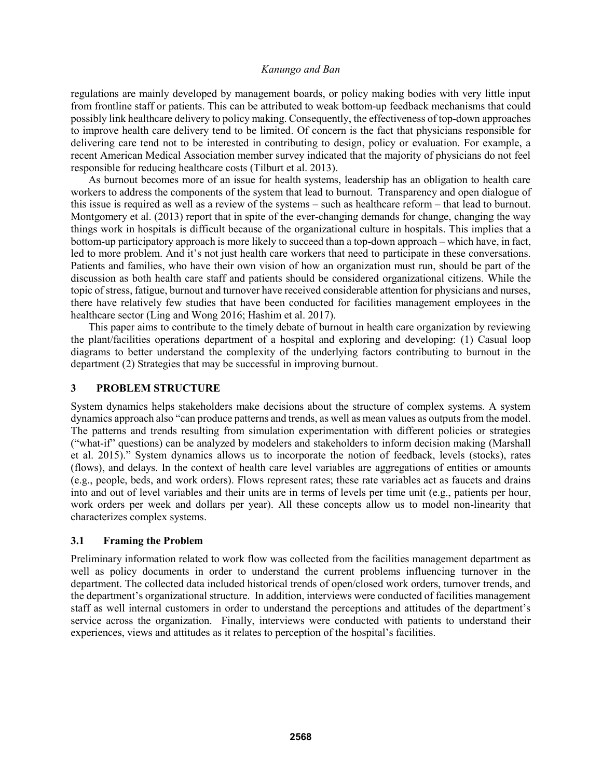regulations are mainly developed by management boards, or policy making bodies with very little input from frontline staff or patients. This can be attributed to weak bottom-up feedback mechanisms that could possibly link healthcare delivery to policy making. Consequently, the effectiveness of top-down approaches to improve health care delivery tend to be limited. Of concern is the fact that physicians responsible for delivering care tend not to be interested in contributing to design, policy or evaluation. For example, a recent American Medical Association member survey indicated that the majority of physicians do not feel responsible for reducing healthcare costs (Tilburt et al. 2013).

As burnout becomes more of an issue for health systems, leadership has an obligation to health care workers to address the components of the system that lead to burnout. Transparency and open dialogue of this issue is required as well as a review of the systems – such as healthcare reform – that lead to burnout. Montgomery et al. (2013) report that in spite of the ever-changing demands for change, changing the way things work in hospitals is difficult because of the organizational culture in hospitals. This implies that a bottom-up participatory approach is more likely to succeed than a top-down approach – which have, in fact, led to more problem. And it's not just health care workers that need to participate in these conversations. Patients and families, who have their own vision of how an organization must run, should be part of the discussion as both health care staff and patients should be considered organizational citizens. While the topic of stress, fatigue, burnout and turnover have received considerable attention for physicians and nurses, there have relatively few studies that have been conducted for facilities management employees in the healthcare sector (Ling and Wong 2016; Hashim et al. 2017).

This paper aims to contribute to the timely debate of burnout in health care organization by reviewing the plant/facilities operations department of a hospital and exploring and developing: (1) Casual loop diagrams to better understand the complexity of the underlying factors contributing to burnout in the department (2) Strategies that may be successful in improving burnout.

# **3 PROBLEM STRUCTURE**

System dynamics helps stakeholders make decisions about the structure of complex systems. A system dynamics approach also "can produce patterns and trends, as well as mean values as outputs from the model. The patterns and trends resulting from simulation experimentation with different policies or strategies ("what-if" questions) can be analyzed by modelers and stakeholders to inform decision making (Marshall et al. 2015)." System dynamics allows us to incorporate the notion of feedback, levels (stocks), rates (flows), and delays. In the context of health care level variables are aggregations of entities or amounts (e.g., people, beds, and work orders). Flows represent rates; these rate variables act as faucets and drains into and out of level variables and their units are in terms of levels per time unit (e.g., patients per hour, work orders per week and dollars per year). All these concepts allow us to model non-linearity that characterizes complex systems.

# **3.1 Framing the Problem**

Preliminary information related to work flow was collected from the facilities management department as well as policy documents in order to understand the current problems influencing turnover in the department. The collected data included historical trends of open/closed work orders, turnover trends, and the department's organizational structure. In addition, interviews were conducted of facilities management staff as well internal customers in order to understand the perceptions and attitudes of the department's service across the organization. Finally, interviews were conducted with patients to understand their experiences, views and attitudes as it relates to perception of the hospital's facilities.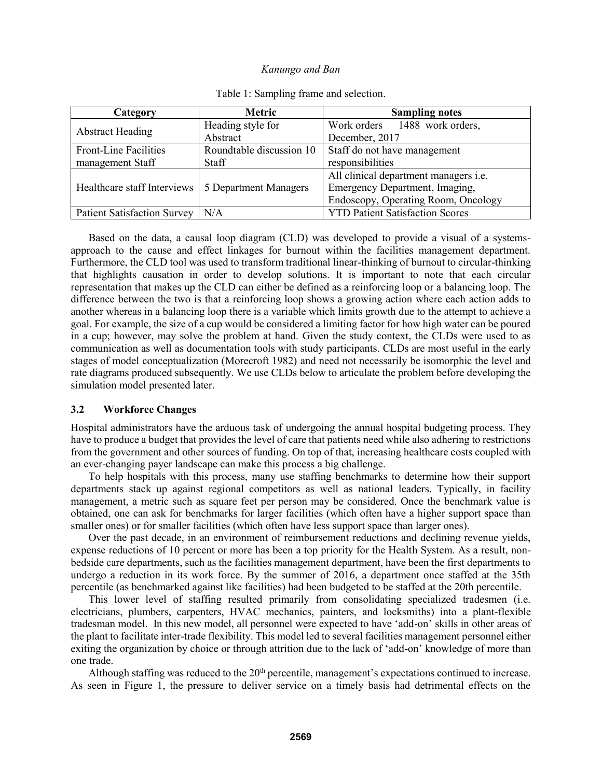| Category                           | <b>Metric</b>            | <b>Sampling notes</b>                  |
|------------------------------------|--------------------------|----------------------------------------|
| <b>Abstract Heading</b>            | Heading style for        | Work orders 1488 work orders,          |
|                                    | Abstract                 | December, 2017                         |
| <b>Front-Line Facilities</b>       | Roundtable discussion 10 | Staff do not have management           |
| management Staff                   | Staff                    | responsibilities                       |
| Healthcare staff Interviews        | 5 Department Managers    | All clinical department managers i.e.  |
|                                    |                          | Emergency Department, Imaging,         |
|                                    |                          | Endoscopy, Operating Room, Oncology    |
| <b>Patient Satisfaction Survey</b> | N/A                      | <b>YTD Patient Satisfaction Scores</b> |

Table 1: Sampling frame and selection.

Based on the data, a causal loop diagram (CLD) was developed to provide a visual of a systemsapproach to the cause and effect linkages for burnout within the facilities management department. Furthermore, the CLD tool was used to transform traditional linear-thinking of burnout to circular-thinking that highlights causation in order to develop solutions. It is important to note that each circular representation that makes up the CLD can either be defined as a reinforcing loop or a balancing loop. The difference between the two is that a reinforcing loop shows a growing action where each action adds to another whereas in a balancing loop there is a variable which limits growth due to the attempt to achieve a goal. For example, the size of a cup would be considered a limiting factor for how high water can be poured in a cup; however, may solve the problem at hand. Given the study context, the CLDs were used to as communication as well as documentation tools with study participants. CLDs are most useful in the early stages of model conceptualization (Morecroft 1982) and need not necessarily be isomorphic the level and rate diagrams produced subsequently. We use CLDs below to articulate the problem before developing the simulation model presented later.

### **3.2 Workforce Changes**

Hospital administrators have the arduous task of undergoing the annual hospital budgeting process. They have to produce a budget that provides the level of care that patients need while also adhering to restrictions from the government and other sources of funding. On top of that, increasing healthcare costs coupled with an ever-changing payer landscape can make this process a big challenge.

To help hospitals with this process, many use staffing benchmarks to determine how their support departments stack up against regional competitors as well as national leaders. Typically, in facility management, a metric such as square feet per person may be considered. Once the benchmark value is obtained, one can ask for benchmarks for larger facilities (which often have a higher support space than smaller ones) or for smaller facilities (which often have less support space than larger ones).

Over the past decade, in an environment of reimbursement reductions and declining revenue yields, expense reductions of 10 percent or more has been a top priority for the Health System. As a result, nonbedside care departments, such as the facilities management department, have been the first departments to undergo a reduction in its work force. By the summer of 2016, a department once staffed at the 35th percentile (as benchmarked against like facilities) had been budgeted to be staffed at the 20th percentile.

This lower level of staffing resulted primarily from consolidating specialized tradesmen (i.e. electricians, plumbers, carpenters, HVAC mechanics, painters, and locksmiths) into a plant-flexible tradesman model. In this new model, all personnel were expected to have 'add-on' skills in other areas of the plant to facilitate inter-trade flexibility. This model led to several facilities management personnel either exiting the organization by choice or through attrition due to the lack of 'add-on' knowledge of more than one trade.

Although staffing was reduced to the  $20<sup>th</sup>$  percentile, management's expectations continued to increase. As seen in Figure 1, the pressure to deliver service on a timely basis had detrimental effects on the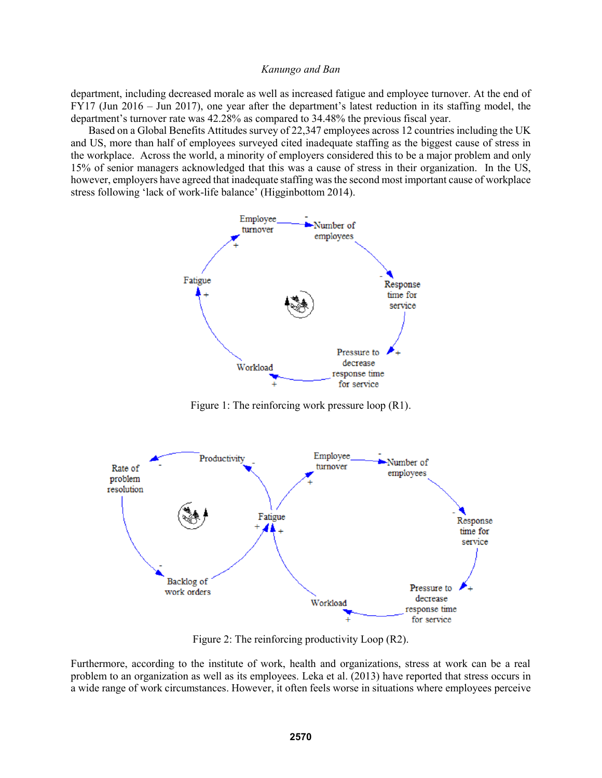department, including decreased morale as well as increased fatigue and employee turnover. At the end of FY17 (Jun 2016 – Jun 2017), one year after the department's latest reduction in its staffing model, the department's turnover rate was 42.28% as compared to 34.48% the previous fiscal year.

Based on a Global Benefits Attitudes survey of 22,347 employees across 12 countries including the UK and US, more than half of employees surveyed cited inadequate staffing as the biggest cause of stress in the workplace. Across the world, a minority of employers considered this to be a major problem and only 15% of senior managers acknowledged that this was a cause of stress in their organization. In the US, however, employers have agreed that inadequate staffing was the second most important cause of workplace stress following 'lack of work-life balance' (Higginbottom 2014).



Figure 1: The reinforcing work pressure loop (R1).



Figure 2: The reinforcing productivity Loop (R2).

Furthermore, according to the institute of work, health and organizations, stress at work can be a real problem to an organization as well as its employees. Leka et al. (2013) have reported that stress occurs in a wide range of work circumstances. However, it often feels worse in situations where employees perceive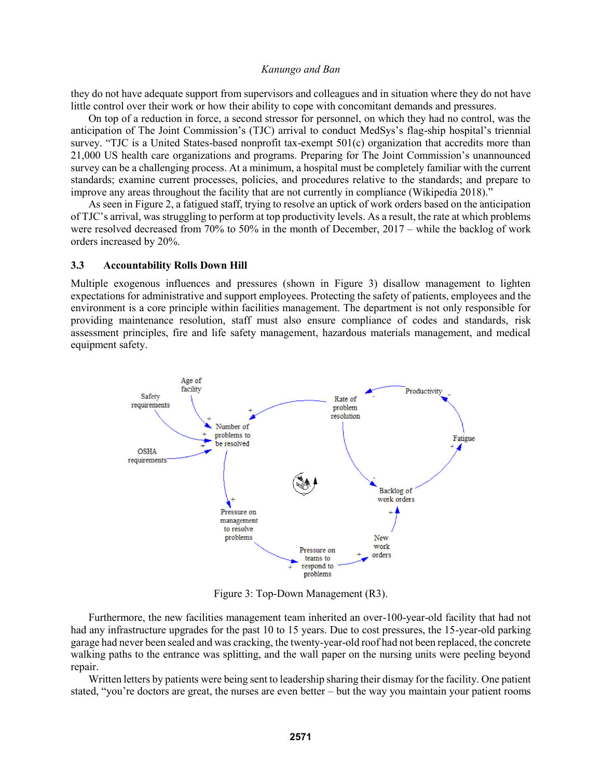they do not have adequate support from supervisors and colleagues and in situation where they do not have little control over their work or how their ability to cope with concomitant demands and pressures.

On top of a reduction in force, a second stressor for personnel, on which they had no control, was the anticipation of The Joint Commission's (TJC) arrival to conduct MedSys's flag-ship hospital's triennial survey. "TJC is a United States-based nonprofit tax-exempt 501(c) organization that accredits more than 21,000 US health care organizations and programs. Preparing for The Joint Commission's unannounced survey can be a challenging process. At a minimum, a hospital must be completely familiar with the current standards; examine current processes, policies, and procedures relative to the standards; and prepare to improve any areas throughout the facility that are not currently in compliance (Wikipedia 2018)."

As seen in Figure 2, a fatigued staff, trying to resolve an uptick of work orders based on the anticipation of TJC's arrival, was struggling to perform at top productivity levels. As a result, the rate at which problems were resolved decreased from 70% to 50% in the month of December, 2017 – while the backlog of work orders increased by 20%.

### **3.3 Accountability Rolls Down Hill**

Multiple exogenous influences and pressures (shown in Figure 3) disallow management to lighten expectations for administrative and support employees. Protecting the safety of patients, employees and the environment is a core principle within facilities management. The department is not only responsible for providing maintenance resolution, staff must also ensure compliance of codes and standards, risk assessment principles, fire and life safety management, hazardous materials management, and medical equipment safety.



Figure 3: Top-Down Management (R3).

Furthermore, the new facilities management team inherited an over-100-year-old facility that had not had any infrastructure upgrades for the past 10 to 15 years. Due to cost pressures, the 15-year-old parking garage had never been sealed and was cracking, the twenty-year-old roof had not been replaced, the concrete walking paths to the entrance was splitting, and the wall paper on the nursing units were peeling beyond repair.

Written letters by patients were being sent to leadership sharing their dismay for the facility. One patient stated, "you're doctors are great, the nurses are even better – but the way you maintain your patient rooms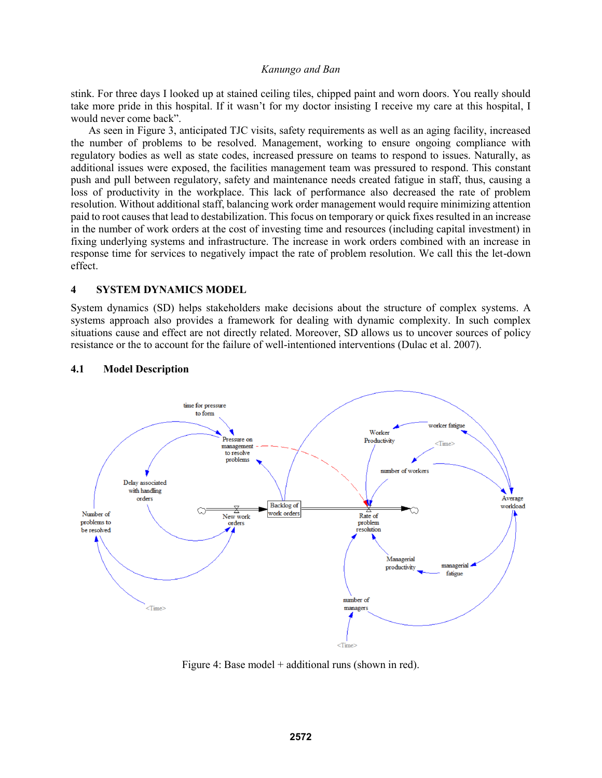stink. For three days I looked up at stained ceiling tiles, chipped paint and worn doors. You really should take more pride in this hospital. If it wasn't for my doctor insisting I receive my care at this hospital, I would never come back".

As seen in Figure 3, anticipated TJC visits, safety requirements as well as an aging facility, increased the number of problems to be resolved. Management, working to ensure ongoing compliance with regulatory bodies as well as state codes, increased pressure on teams to respond to issues. Naturally, as additional issues were exposed, the facilities management team was pressured to respond. This constant push and pull between regulatory, safety and maintenance needs created fatigue in staff, thus, causing a loss of productivity in the workplace. This lack of performance also decreased the rate of problem resolution. Without additional staff, balancing work order management would require minimizing attention paid to root causes that lead to destabilization. This focus on temporary or quick fixes resulted in an increase in the number of work orders at the cost of investing time and resources (including capital investment) in fixing underlying systems and infrastructure. The increase in work orders combined with an increase in response time for services to negatively impact the rate of problem resolution. We call this the let-down effect.

### **4 SYSTEM DYNAMICS MODEL**

System dynamics (SD) helps stakeholders make decisions about the structure of complex systems. A systems approach also provides a framework for dealing with dynamic complexity. In such complex situations cause and effect are not directly related. Moreover, SD allows us to uncover sources of policy resistance or the to account for the failure of well-intentioned interventions (Dulac et al. 2007).

#### **4.1 Model Description**



Figure 4: Base model + additional runs (shown in red).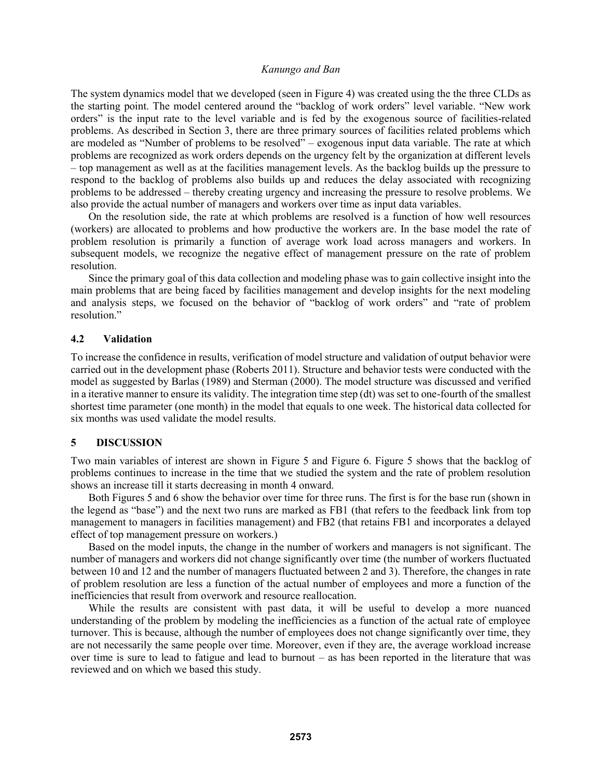The system dynamics model that we developed (seen in Figure 4) was created using the the three CLDs as the starting point. The model centered around the "backlog of work orders" level variable. "New work orders" is the input rate to the level variable and is fed by the exogenous source of facilities-related problems. As described in Section 3, there are three primary sources of facilities related problems which are modeled as "Number of problems to be resolved" – exogenous input data variable. The rate at which problems are recognized as work orders depends on the urgency felt by the organization at different levels – top management as well as at the facilities management levels. As the backlog builds up the pressure to respond to the backlog of problems also builds up and reduces the delay associated with recognizing problems to be addressed – thereby creating urgency and increasing the pressure to resolve problems. We also provide the actual number of managers and workers over time as input data variables.

On the resolution side, the rate at which problems are resolved is a function of how well resources (workers) are allocated to problems and how productive the workers are. In the base model the rate of problem resolution is primarily a function of average work load across managers and workers. In subsequent models, we recognize the negative effect of management pressure on the rate of problem resolution.

Since the primary goal of this data collection and modeling phase was to gain collective insight into the main problems that are being faced by facilities management and develop insights for the next modeling and analysis steps, we focused on the behavior of "backlog of work orders" and "rate of problem resolution."

### **4.2 Validation**

To increase the confidence in results, verification of model structure and validation of output behavior were carried out in the development phase (Roberts 2011). Structure and behavior tests were conducted with the model as suggested by Barlas (1989) and Sterman (2000). The model structure was discussed and verified in a iterative manner to ensure its validity. The integration time step (dt) was set to one-fourth of the smallest shortest time parameter (one month) in the model that equals to one week. The historical data collected for six months was used validate the model results.

# **5 DISCUSSION**

Two main variables of interest are shown in Figure 5 and Figure 6. Figure 5 shows that the backlog of problems continues to increase in the time that we studied the system and the rate of problem resolution shows an increase till it starts decreasing in month 4 onward.

Both Figures 5 and 6 show the behavior over time for three runs. The first is for the base run (shown in the legend as "base") and the next two runs are marked as FB1 (that refers to the feedback link from top management to managers in facilities management) and FB2 (that retains FB1 and incorporates a delayed effect of top management pressure on workers.)

Based on the model inputs, the change in the number of workers and managers is not significant. The number of managers and workers did not change significantly over time (the number of workers fluctuated between 10 and 12 and the number of managers fluctuated between 2 and 3). Therefore, the changes in rate of problem resolution are less a function of the actual number of employees and more a function of the inefficiencies that result from overwork and resource reallocation.

While the results are consistent with past data, it will be useful to develop a more nuanced understanding of the problem by modeling the inefficiencies as a function of the actual rate of employee turnover. This is because, although the number of employees does not change significantly over time, they are not necessarily the same people over time. Moreover, even if they are, the average workload increase over time is sure to lead to fatigue and lead to burnout – as has been reported in the literature that was reviewed and on which we based this study.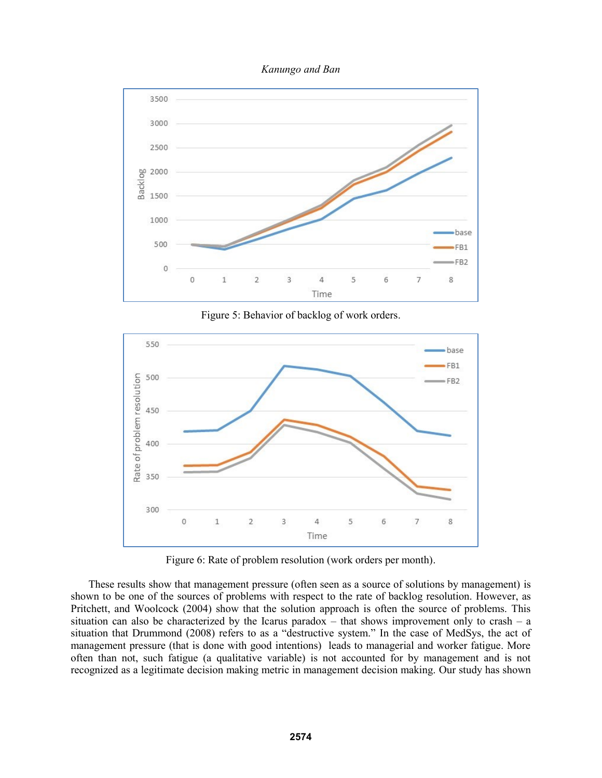



Figure 5: Behavior of backlog of work orders.



Figure 6: Rate of problem resolution (work orders per month).

These results show that management pressure (often seen as a source of solutions by management) is shown to be one of the sources of problems with respect to the rate of backlog resolution. However, as Pritchett, and Woolcock (2004) show that the solution approach is often the source of problems. This situation can also be characterized by the Icarus paradox – that shows improvement only to crash – a situation that Drummond (2008) refers to as a "destructive system." In the case of MedSys, the act of management pressure (that is done with good intentions) leads to managerial and worker fatigue. More often than not, such fatigue (a qualitative variable) is not accounted for by management and is not recognized as a legitimate decision making metric in management decision making. Our study has shown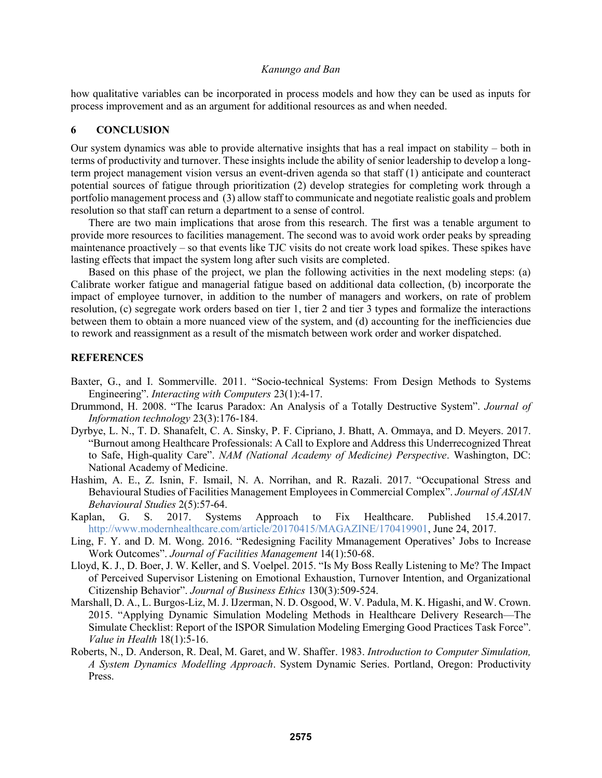how qualitative variables can be incorporated in process models and how they can be used as inputs for process improvement and as an argument for additional resources as and when needed.

# **6 CONCLUSION**

Our system dynamics was able to provide alternative insights that has a real impact on stability – both in terms of productivity and turnover. These insights include the ability of senior leadership to develop a longterm project management vision versus an event-driven agenda so that staff (1) anticipate and counteract potential sources of fatigue through prioritization (2) develop strategies for completing work through a portfolio management process and (3) allow staff to communicate and negotiate realistic goals and problem resolution so that staff can return a department to a sense of control.

There are two main implications that arose from this research. The first was a tenable argument to provide more resources to facilities management. The second was to avoid work order peaks by spreading maintenance proactively – so that events like TJC visits do not create work load spikes. These spikes have lasting effects that impact the system long after such visits are completed.

Based on this phase of the project, we plan the following activities in the next modeling steps: (a) Calibrate worker fatigue and managerial fatigue based on additional data collection, (b) incorporate the impact of employee turnover, in addition to the number of managers and workers, on rate of problem resolution, (c) segregate work orders based on tier 1, tier 2 and tier 3 types and formalize the interactions between them to obtain a more nuanced view of the system, and (d) accounting for the inefficiencies due to rework and reassignment as a result of the mismatch between work order and worker dispatched.

#### **REFERENCES**

- Baxter, G., and I. Sommerville. 2011. "Socio-technical Systems: From Design Methods to Systems Engineering". *Interacting with Computers* 23(1):4-17.
- Drummond, H. 2008. "The Icarus Paradox: An Analysis of a Totally Destructive System". *Journal of Information technology* 23(3):176-184.
- Dyrbye, L. N., T. D. Shanafelt, C. A. Sinsky, P. F. Cipriano, J. Bhatt, A. Ommaya, and D. Meyers. 2017. "Burnout among Healthcare Professionals: A Call to Explore and Address this Underrecognized Threat to Safe, High-quality Care". *NAM (National Academy of Medicine) Perspective*. Washington, DC: National Academy of Medicine.
- Hashim, A. E., Z. Isnin, F. Ismail, N. A. Norrihan, and R. Razali. 2017. "Occupational Stress and Behavioural Studies of Facilities Management Employees in Commercial Complex". *Journal of ASIAN Behavioural Studies* 2(5):57-64.
- Kaplan, G. S. 2017. Systems Approach to Fix Healthcare. Published 15.4.2017. http://www.modernhealthcare.com/article/20170415/MAGAZINE/170419901, June 24, 2017.
- Ling, F. Y. and D. M. Wong. 2016. "Redesigning Facility Mmanagement Operatives' Jobs to Increase Work Outcomes". *Journal of Facilities Management* 14(1):50-68.
- Lloyd, K. J., D. Boer, J. W. Keller, and S. Voelpel. 2015. "Is My Boss Really Listening to Me? The Impact of Perceived Supervisor Listening on Emotional Exhaustion, Turnover Intention, and Organizational Citizenship Behavior". *Journal of Business Ethics* 130(3):509-524.
- Marshall, D. A., L. Burgos-Liz, M. J. IJzerman, N. D. Osgood, W. V. Padula, M. K. Higashi, and W. Crown. 2015. "Applying Dynamic Simulation Modeling Methods in Healthcare Delivery Research—The Simulate Checklist: Report of the ISPOR Simulation Modeling Emerging Good Practices Task Force". *Value in Health* 18(1):5-16.
- Roberts, N., D. Anderson, R. Deal, M. Garet, and W. Shaffer. 1983. *Introduction to Computer Simulation, A System Dynamics Modelling Approach*. System Dynamic Series. Portland, Oregon: Productivity Press.